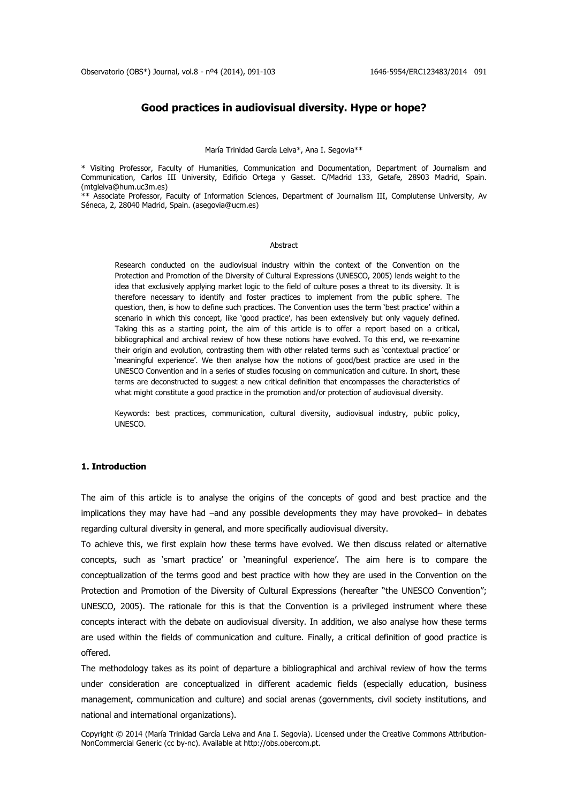# **Good practices in audiovisual diversity. Hype or hope?**

María Trinidad García Leiva\*, Ana I. Segovia\*\*

\* Visiting Professor, Faculty of Humanities, Communication and Documentation, Department of Journalism and Communication, Carlos III University, Edificio Ortega y Gasset. C/Madrid 133, Getafe, 28903 Madrid, Spain. (mtgleiva@hum.uc3m.es)

\*\* Associate Professor, Faculty of Information Sciences, Department of Journalism III, Complutense University, Av Séneca, 2, 28040 Madrid, Spain. (asegovia@ucm.es)

#### Abstract

Research conducted on the audiovisual industry within the context of the Convention on the Protection and Promotion of the Diversity of Cultural Expressions (UNESCO, 2005) lends weight to the idea that exclusively applying market logic to the field of culture poses a threat to its diversity. It is therefore necessary to identify and foster practices to implement from the public sphere. The question, then, is how to define such practices. The Convention uses the term 'best practice' within a scenario in which this concept, like 'good practice', has been extensively but only vaguely defined. Taking this as a starting point, the aim of this article is to offer a report based on a critical, bibliographical and archival review of how these notions have evolved. To this end, we re-examine their origin and evolution, contrasting them with other related terms such as 'contextual practice' or 'meaningful experience'. We then analyse how the notions of good/best practice are used in the UNESCO Convention and in a series of studies focusing on communication and culture. In short, these terms are deconstructed to suggest a new critical definition that encompasses the characteristics of what might constitute a good practice in the promotion and/or protection of audiovisual diversity.

Keywords: best practices, communication, cultural diversity, audiovisual industry, public policy, UNESCO.

### **1. Introduction**

The aim of this article is to analyse the origins of the concepts of good and best practice and the implications they may have had –and any possible developments they may have provoked– in debates regarding cultural diversity in general, and more specifically audiovisual diversity.

To achieve this, we first explain how these terms have evolved. We then discuss related or alternative concepts, such as 'smart practice' or 'meaningful experience'. The aim here is to compare the conceptualization of the terms good and best practice with how they are used in the Convention on the Protection and Promotion of the Diversity of Cultural Expressions (hereafter "the UNESCO Convention"; UNESCO, 2005). The rationale for this is that the Convention is a privileged instrument where these concepts interact with the debate on audiovisual diversity. In addition, we also analyse how these terms are used within the fields of communication and culture. Finally, a critical definition of good practice is offered.

The methodology takes as its point of departure a bibliographical and archival review of how the terms under consideration are conceptualized in different academic fields (especially education, business management, communication and culture) and social arenas (governments, civil society institutions, and national and international organizations).

Copyright © 2014 (María Trinidad García Leiva and Ana I. Segovia). Licensed under the Creative Commons Attribution-NonCommercial Generic (cc by-nc). Available at http://obs.obercom.pt.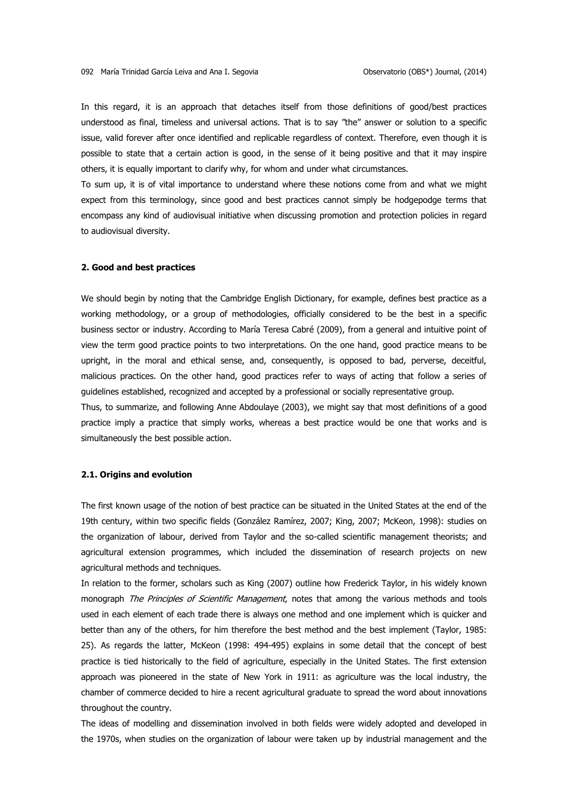In this regard, it is an approach that detaches itself from those definitions of good/best practices understood as final, timeless and universal actions. That is to say "the" answer or solution to a specific issue, valid forever after once identified and replicable regardless of context. Therefore, even though it is possible to state that a certain action is good, in the sense of it being positive and that it may inspire others, it is equally important to clarify why, for whom and under what circumstances.

To sum up, it is of vital importance to understand where these notions come from and what we might expect from this terminology, since good and best practices cannot simply be hodgepodge terms that encompass any kind of audiovisual initiative when discussing promotion and protection policies in regard to audiovisual diversity.

### **2. Good and best practices**

We should begin by noting that the Cambridge English Dictionary, for example, defines best practice as a working methodology, or a group of methodologies, officially considered to be the best in a specific business sector or industry. According to María Teresa Cabré (2009), from a general and intuitive point of view the term good practice points to two interpretations. On the one hand, good practice means to be upright, in the moral and ethical sense, and, consequently, is opposed to bad, perverse, deceitful, malicious practices. On the other hand, good practices refer to ways of acting that follow a series of guidelines established, recognized and accepted by a professional or socially representative group.

Thus, to summarize, and following Anne Abdoulaye (2003), we might say that most definitions of a good practice imply a practice that simply works, whereas a best practice would be one that works and is simultaneously the best possible action.

## **2.1. Origins and evolution**

The first known usage of the notion of best practice can be situated in the United States at the end of the 19th century, within two specific fields (González Ramírez, 2007; King, 2007; McKeon, 1998): studies on the organization of labour, derived from Taylor and the so-called scientific management theorists; and agricultural extension programmes, which included the dissemination of research projects on new agricultural methods and techniques.

In relation to the former, scholars such as King (2007) outline how Frederick Taylor, in his widely known monograph The Principles of Scientific Management, notes that among the various methods and tools used in each element of each trade there is always one method and one implement which is quicker and better than any of the others, for him therefore the best method and the best implement (Taylor, 1985: 25). As regards the latter, McKeon (1998: 494-495) explains in some detail that the concept of best practice is tied historically to the field of agriculture, especially in the United States. The first extension approach was pioneered in the state of New York in 1911: as agriculture was the local industry, the chamber of commerce decided to hire a recent agricultural graduate to spread the word about innovations throughout the country.

The ideas of modelling and dissemination involved in both fields were widely adopted and developed in the 1970s, when studies on the organization of labour were taken up by industrial management and the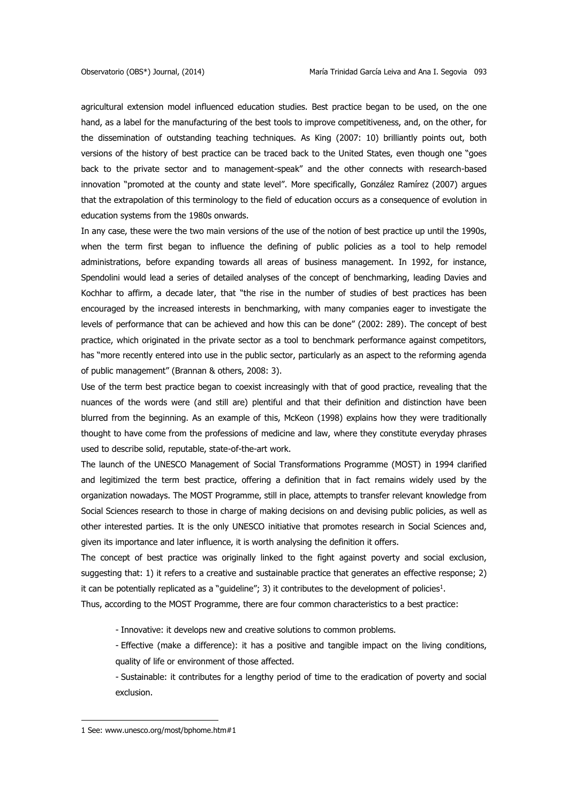agricultural extension model influenced education studies. Best practice began to be used, on the one hand, as a label for the manufacturing of the best tools to improve competitiveness, and, on the other, for the dissemination of outstanding teaching techniques. As King (2007: 10) brilliantly points out, both versions of the history of best practice can be traced back to the United States, even though one "goes back to the private sector and to management-speak" and the other connects with research-based innovation "promoted at the county and state level". More specifically, González Ramírez (2007) argues that the extrapolation of this terminology to the field of education occurs as a consequence of evolution in education systems from the 1980s onwards.

In any case, these were the two main versions of the use of the notion of best practice up until the 1990s, when the term first began to influence the defining of public policies as a tool to help remodel administrations, before expanding towards all areas of business management. In 1992, for instance, Spendolini would lead a series of detailed analyses of the concept of benchmarking, leading Davies and Kochhar to affirm, a decade later, that "the rise in the number of studies of best practices has been encouraged by the increased interests in benchmarking, with many companies eager to investigate the levels of performance that can be achieved and how this can be done" (2002: 289). The concept of best practice, which originated in the private sector as a tool to benchmark performance against competitors, has "more recently entered into use in the public sector, particularly as an aspect to the reforming agenda of public management" (Brannan & others, 2008: 3).

Use of the term best practice began to coexist increasingly with that of good practice, revealing that the nuances of the words were (and still are) plentiful and that their definition and distinction have been blurred from the beginning. As an example of this, McKeon (1998) explains how they were traditionally thought to have come from the professions of medicine and law, where they constitute everyday phrases used to describe solid, reputable, state-of-the-art work.

The launch of the UNESCO Management of Social Transformations Programme (MOST) in 1994 clarified and legitimized the term best practice, offering a definition that in fact remains widely used by the organization nowadays. The MOST Programme, still in place, attempts to transfer relevant knowledge from Social Sciences research to those in charge of making decisions on and devising public policies, as well as other interested parties. It is the only UNESCO initiative that promotes research in Social Sciences and, given its importance and later influence, it is worth analysing the definition it offers.

The concept of best practice was originally linked to the fight against poverty and social exclusion, suggesting that: 1) it refers to a creative and sustainable practice that generates an effective response; 2) it can be potentially replicated as a "guideline"; 3) it contributes to the development of policies<sup>1</sup>.

Thus, according to the MOST Programme, there are four common characteristics to a best practice:

- Innovative: it develops new and creative solutions to common problems.

- Effective (make a difference): it has a positive and tangible impact on the living conditions, quality of life or environment of those affected.

- Sustainable: it contributes for a lengthy period of time to the eradication of poverty and social exclusion.

**.** 

<sup>1</sup> See: [www.unesco.org/most/bphome.htm#1](http://www.unesco.org/most/bphome.htm#1)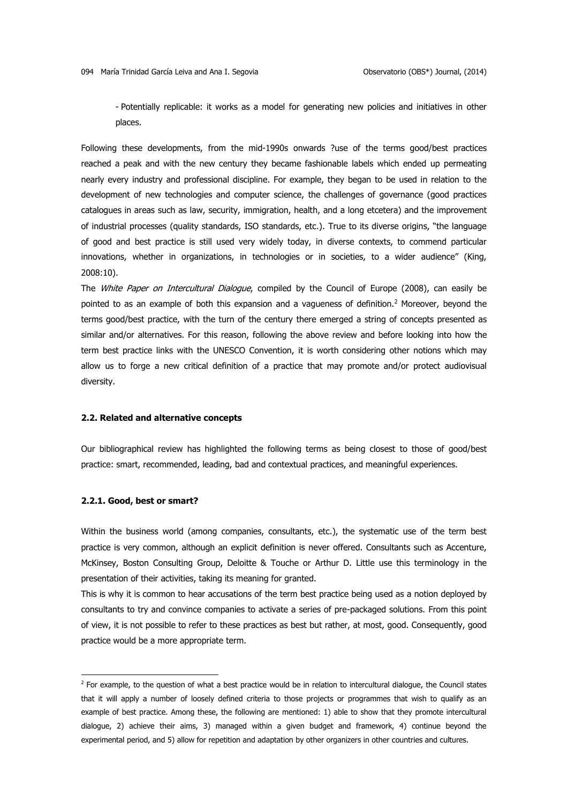- Potentially replicable: it works as a model for generating new policies and initiatives in other places.

Following these developments, from the mid-1990s onwards ?use of the terms good/best practices reached a peak and with the new century they became fashionable labels which ended up permeating nearly every industry and professional discipline. For example, they began to be used in relation to the development of new technologies and computer science, the challenges of governance (good practices catalogues in areas such as law, security, immigration, health, and a long etcetera) and the improvement of industrial processes (quality standards, ISO standards, etc.). True to its diverse origins, "the language of good and best practice is still used very widely today, in diverse contexts, to commend particular innovations, whether in organizations, in technologies or in societies, to a wider audience" (King, 2008:10).

The *White Paper on Intercultural Dialogue*, compiled by the Council of Europe (2008), can easily be pointed to as an example of both this expansion and a vagueness of definition.<sup>2</sup> Moreover, beyond the terms good/best practice, with the turn of the century there emerged a string of concepts presented as similar and/or alternatives. For this reason, following the above review and before looking into how the term best practice links with the UNESCO Convention, it is worth considering other notions which may allow us to forge a new critical definition of a practice that may promote and/or protect audiovisual diversity.

#### **2.2. Related and alternative concepts**

Our bibliographical review has highlighted the following terms as being closest to those of good/best practice: smart, recommended, leading, bad and contextual practices, and meaningful experiences.

### **2.2.1. Good, best or smart?**

**.** 

Within the business world (among companies, consultants, etc.), the systematic use of the term best practice is very common, although an explicit definition is never offered. Consultants such as Accenture, McKinsey, Boston Consulting Group, Deloitte & Touche or Arthur D. Little use this terminology in the presentation of their activities, taking its meaning for granted.

This is why it is common to hear accusations of the term best practice being used as a notion deployed by consultants to try and convince companies to activate a series of pre-packaged solutions. From this point of view, it is not possible to refer to these practices as best but rather, at most, good. Consequently, good practice would be a more appropriate term.

 $<sup>2</sup>$  For example, to the question of what a best practice would be in relation to intercultural dialogue, the Council states</sup> that it will apply a number of loosely defined criteria to those projects or programmes that wish to qualify as an example of best practice. Among these, the following are mentioned: 1) able to show that they promote intercultural dialogue, 2) achieve their aims, 3) managed within a given budget and framework, 4) continue beyond the experimental period, and 5) allow for repetition and adaptation by other organizers in other countries and cultures.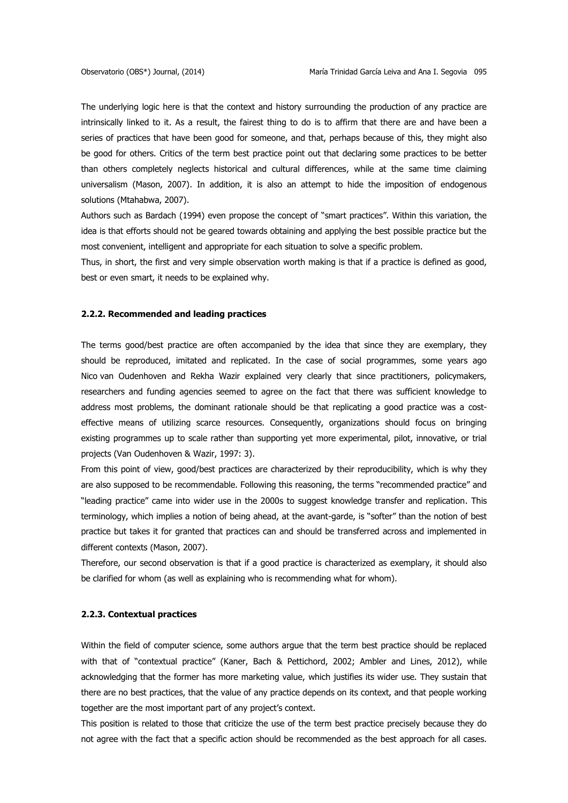The underlying logic here is that the context and history surrounding the production of any practice are intrinsically linked to it. As a result, the fairest thing to do is to affirm that there are and have been a series of practices that have been good for someone, and that, perhaps because of this, they might also be good for others. Critics of the term best practice point out that declaring some practices to be better than others completely neglects historical and cultural differences, while at the same time claiming universalism (Mason, 2007). In addition, it is also an attempt to hide the imposition of endogenous solutions (Mtahabwa, 2007).

Authors such as Bardach (1994) even propose the concept of "smart practices". Within this variation, the idea is that efforts should not be geared towards obtaining and applying the best possible practice but the most convenient, intelligent and appropriate for each situation to solve a specific problem.

Thus, in short, the first and very simple observation worth making is that if a practice is defined as good, best or even smart, it needs to be explained why.

#### **2.2.2. Recommended and leading practices**

The terms good/best practice are often accompanied by the idea that since they are exemplary, they should be reproduced, imitated and replicated. In the case of social programmes, some years ago Nico van Oudenhoven and Rekha Wazir explained very clearly that since practitioners, policymakers, researchers and funding agencies seemed to agree on the fact that there was sufficient knowledge to address most problems, the dominant rationale should be that replicating a good practice was a costeffective means of utilizing scarce resources. Consequently, organizations should focus on bringing existing programmes up to scale rather than supporting yet more experimental, pilot, innovative, or trial projects (Van Oudenhoven & Wazir, 1997: 3).

From this point of view, good/best practices are characterized by their reproducibility, which is why they are also supposed to be recommendable. Following this reasoning, the terms "recommended practice" and "leading practice" came into wider use in the 2000s to suggest knowledge transfer and replication. This terminology, which implies a notion of being ahead, at the avant-garde, is "softer" than the notion of best practice but takes it for granted that practices can and should be transferred across and implemented in different contexts (Mason, 2007).

Therefore, our second observation is that if a good practice is characterized as exemplary, it should also be clarified for whom (as well as explaining who is recommending what for whom).

### **2.2.3. Contextual practices**

Within the field of computer science, some authors argue that the term best practice should be replaced with that of "contextual practice" (Kaner, Bach & Pettichord, 2002; Ambler and Lines, 2012), while acknowledging that the former has more marketing value, which justifies its wider use. They sustain that there are no best practices, that the value of any practice depends on its context, and that people working together are the most important part of any project's context.

This position is related to those that criticize the use of the term best practice precisely because they do not agree with the fact that a specific action should be recommended as the best approach for all cases.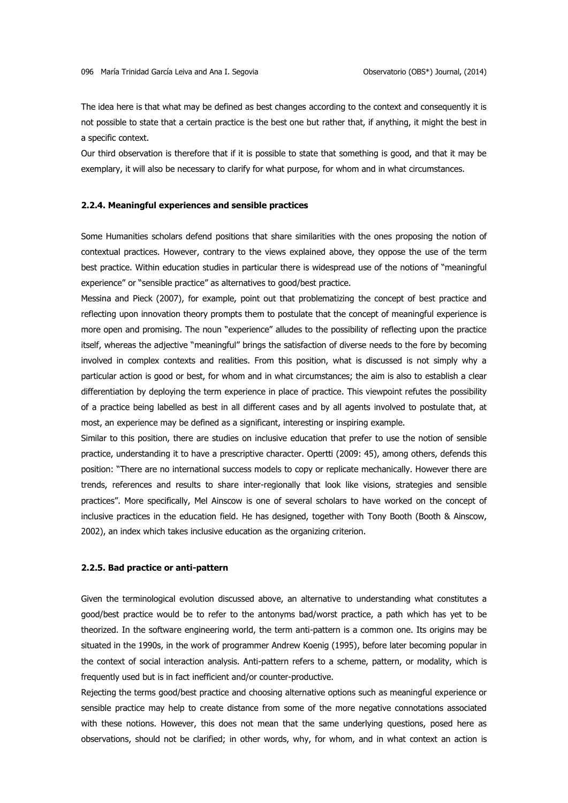The idea here is that what may be defined as best changes according to the context and consequently it is not possible to state that a certain practice is the best one but rather that, if anything, it might the best in a specific context.

Our third observation is therefore that if it is possible to state that something is good, and that it may be exemplary, it will also be necessary to clarify for what purpose, for whom and in what circumstances.

### **2.2.4. Meaningful experiences and sensible practices**

Some Humanities scholars defend positions that share similarities with the ones proposing the notion of contextual practices. However, contrary to the views explained above, they oppose the use of the term best practice. Within education studies in particular there is widespread use of the notions of "meaningful experience" or "sensible practice" as alternatives to good/best practice.

Messina and Pieck (2007), for example, point out that problematizing the concept of best practice and reflecting upon innovation theory prompts them to postulate that the concept of meaningful experience is more open and promising. The noun "experience" alludes to the possibility of reflecting upon the practice itself, whereas the adjective "meaningful" brings the satisfaction of diverse needs to the fore by becoming involved in complex contexts and realities. From this position, what is discussed is not simply why a particular action is good or best, for whom and in what circumstances; the aim is also to establish a clear differentiation by deploying the term experience in place of practice. This viewpoint refutes the possibility of a practice being labelled as best in all different cases and by all agents involved to postulate that, at most, an experience may be defined as a significant, interesting or inspiring example.

Similar to this position, there are studies on inclusive education that prefer to use the notion of sensible practice, understanding it to have a prescriptive character. Opertti (2009: 45), among others, defends this position: "There are no international success models to copy or replicate mechanically. However there are trends, references and results to share inter-regionally that look like visions, strategies and sensible practices". More specifically, Mel Ainscow is one of several scholars to have worked on the concept of inclusive practices in the education field. He has designed, together with Tony Booth (Booth & Ainscow, 2002), an index which takes inclusive education as the organizing criterion.

### **2.2.5. Bad practice or anti-pattern**

Given the terminological evolution discussed above, an alternative to understanding what constitutes a good/best practice would be to refer to the antonyms bad/worst practice, a path which has yet to be theorized. In the software engineering world, the term anti-pattern is a common one. Its origins may be situated in the 1990s, in the work of programmer Andrew Koenig (1995), before later becoming popular in the context of social interaction analysis. Anti-pattern refers to a scheme, pattern, or modality, which is frequently used but is in fact inefficient and/or counter-productive.

Rejecting the terms good/best practice and choosing alternative options such as meaningful experience or sensible practice may help to create distance from some of the more negative connotations associated with these notions. However, this does not mean that the same underlying questions, posed here as observations, should not be clarified; in other words, why, for whom, and in what context an action is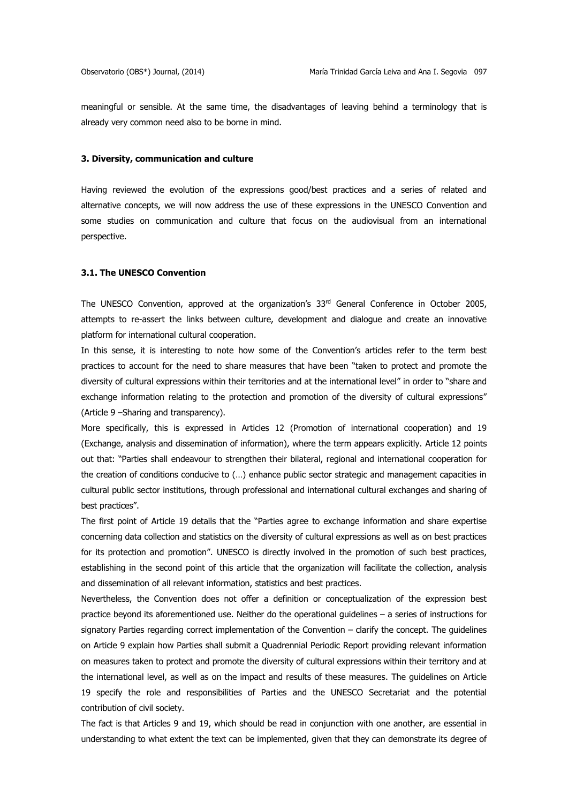meaningful or sensible. At the same time, the disadvantages of leaving behind a terminology that is already very common need also to be borne in mind.

### **3. Diversity, communication and culture**

Having reviewed the evolution of the expressions good/best practices and a series of related and alternative concepts, we will now address the use of these expressions in the UNESCO Convention and some studies on communication and culture that focus on the audiovisual from an international perspective.

### **3.1. The UNESCO Convention**

The UNESCO Convention, approved at the organization's  $33<sup>rd</sup>$  General Conference in October 2005, attempts to re-assert the links between culture, development and dialogue and create an innovative platform for international cultural cooperation.

In this sense, it is interesting to note how some of the Convention's articles refer to the term best practices to account for the need to share measures that have been "taken to protect and promote the diversity of cultural expressions within their territories and at the international level" in order to "share and exchange information relating to the protection and promotion of the diversity of cultural expressions" (Article 9 –Sharing and transparency).

More specifically, this is expressed in Articles 12 (Promotion of international cooperation) and 19 (Exchange, analysis and dissemination of information), where the term appears explicitly. Article 12 points out that: "Parties shall endeavour to strengthen their bilateral, regional and international cooperation for the creation of conditions conducive to (…) enhance public sector strategic and management capacities in cultural public sector institutions, through professional and international cultural exchanges and sharing of best practices".

The first point of Article 19 details that the "Parties agree to exchange information and share expertise concerning data collection and statistics on the diversity of cultural expressions as well as on best practices for its protection and promotion". UNESCO is directly involved in the promotion of such best practices, establishing in the second point of this article that the organization will facilitate the collection, analysis and dissemination of all relevant information, statistics and best practices.

Nevertheless, the Convention does not offer a definition or conceptualization of the expression best practice beyond its aforementioned use. Neither do the operational guidelines – a series of instructions for signatory Parties regarding correct implementation of the Convention – clarify the concept. The guidelines on Article 9 explain how Parties shall submit a Quadrennial Periodic Report providing relevant information on measures taken to protect and promote the diversity of cultural expressions within their territory and at the international level, as well as on the impact and results of these measures. The guidelines on Article 19 specify the role and responsibilities of Parties and the UNESCO Secretariat and the potential contribution of civil society.

The fact is that Articles 9 and 19, which should be read in conjunction with one another, are essential in understanding to what extent the text can be implemented, given that they can demonstrate its degree of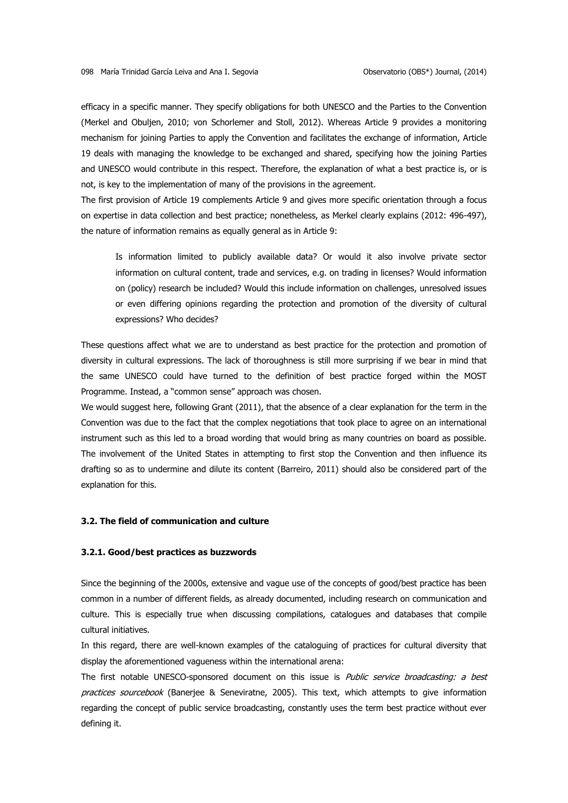efficacy in a specific manner. They specify obligations for both UNESCO and the Parties to the Convention (Merkel and Obuljen, 2010; von Schorlemer and Stoll, 2012). Whereas Article 9 provides a monitoring mechanism for joining Parties to apply the Convention and facilitates the exchange of information, Article 19 deals with managing the knowledge to be exchanged and shared, specifying how the joining Parties and UNESCO would contribute in this respect. Therefore, the explanation of what a best practice is, or is not, is key to the implementation of many of the provisions in the agreement.

The first provision of Article 19 complements Article 9 and gives more specific orientation through a focus on expertise in data collection and best practice; nonetheless, as Merkel clearly explains (2012: 496-497), the nature of information remains as equally general as in Article 9:

Is information limited to publicly available data? Or would it also involve private sector information on cultural content, trade and services, e.g. on trading in licenses? Would information on (policy) research be included? Would this include information on challenges, unresolved issues or even differing opinions regarding the protection and promotion of the diversity of cultural expressions? Who decides?

These questions affect what we are to understand as best practice for the protection and promotion of diversity in cultural expressions. The lack of thoroughness is still more surprising if we bear in mind that the same UNESCO could have turned to the definition of best practice forged within the MOST Programme. Instead, a "common sense" approach was chosen.

We would suggest here, following Grant (2011), that the absence of a clear explanation for the term in the Convention was due to the fact that the complex negotiations that took place to agree on an international instrument such as this led to a broad wording that would bring as many countries on board as possible. The involvement of the United States in attempting to first stop the Convention and then influence its drafting so as to undermine and dilute its content (Barreiro, 2011) should also be considered part of the explanation for this.

### **3.2. The field of communication and culture**

#### **3.2.1. Good/best practices as buzzwords**

Since the beginning of the 2000s, extensive and vague use of the concepts of good/best practice has been common in a number of different fields, as already documented, including research on communication and culture. This is especially true when discussing compilations, catalogues and databases that compile cultural initiatives.

In this regard, there are well-known examples of the cataloguing of practices for cultural diversity that display the aforementioned vagueness within the international arena:

The first notable UNESCO-sponsored document on this issue is *Public service broadcasting: a best* practices sourcebook (Banerjee & Seneviratne, 2005). This text, which attempts to give information regarding the concept of public service broadcasting, constantly uses the term best practice without ever defining it.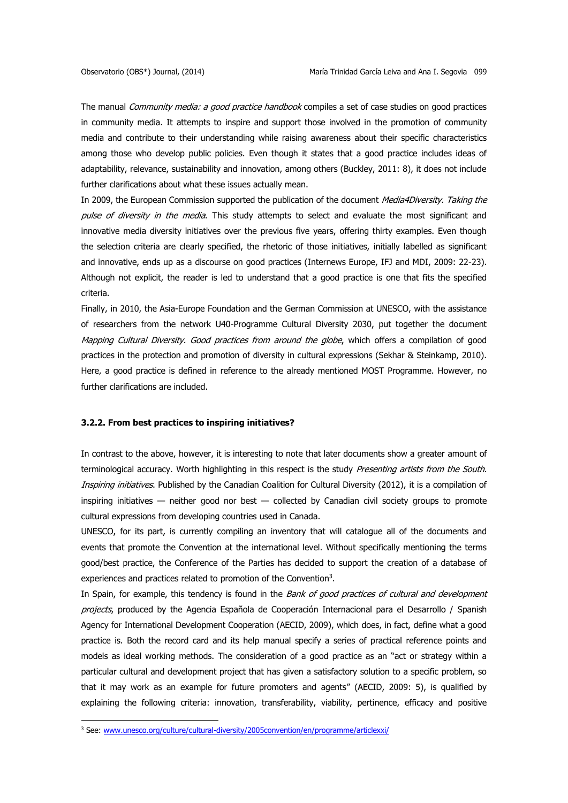The manual *Community media: a good practice handbook* compiles a set of case studies on good practices in community media. It attempts to inspire and support those involved in the promotion of community media and contribute to their understanding while raising awareness about their specific characteristics among those who develop public policies. Even though it states that a good practice includes ideas of adaptability, relevance, sustainability and innovation, among others (Buckley, 2011: 8), it does not include further clarifications about what these issues actually mean.

In 2009, the European Commission supported the publication of the document Media4Diversity. Taking the pulse of diversity in the media. This study attempts to select and evaluate the most significant and innovative media diversity initiatives over the previous five years, offering thirty examples. Even though the selection criteria are clearly specified, the rhetoric of those initiatives, initially labelled as significant and innovative, ends up as a discourse on good practices (Internews Europe, IFJ and MDI, 2009: 22-23). Although not explicit, the reader is led to understand that a good practice is one that fits the specified criteria.

Finally, in 2010, the Asia-Europe Foundation and the German Commission at UNESCO, with the assistance of researchers from the network U40-Programme Cultural Diversity 2030, put together the document Mapping Cultural Diversity. Good practices from around the globe, which offers a compilation of good practices in the protection and promotion of diversity in cultural expressions (Sekhar & Steinkamp, 2010). Here, a good practice is defined in reference to the already mentioned MOST Programme. However, no further clarifications are included.

### **3.2.2. From best practices to inspiring initiatives?**

In contrast to the above, however, it is interesting to note that later documents show a greater amount of terminological accuracy. Worth highlighting in this respect is the study Presenting artists from the South. Inspiring initiatives. Published by the Canadian Coalition for Cultural Diversity (2012), it is a compilation of inspiring initiatives — neither good nor best — collected by Canadian civil society groups to promote cultural expressions from developing countries used in Canada.

UNESCO, for its part, is currently compiling an inventory that will catalogue all of the documents and events that promote the Convention at the international level. Without specifically mentioning the terms good/best practice, the Conference of the Parties has decided to support the creation of a database of experiences and practices related to promotion of the Convention<sup>3</sup>.

In Spain, for example, this tendency is found in the Bank of good practices of cultural and development projects, produced by the Agencia Española de Cooperación Internacional para el Desarrollo / Spanish Agency for International Development Cooperation (AECID, 2009), which does, in fact, define what a good practice is. Both the record card and its help manual specify a series of practical reference points and models as ideal working methods. The consideration of a good practice as an "act or strategy within a particular cultural and development project that has given a satisfactory solution to a specific problem, so that it may work as an example for future promoters and agents" (AECID, 2009: 5), is qualified by explaining the following criteria: innovation, transferability, viability, pertinence, efficacy and positive

**.** 

<sup>&</sup>lt;sup>3</sup> See[: www.unesco.org/culture/cultural-diversity/2005convention/en/programme/articlexxi/](http://www.unesco.org/culture/cultural-diversity/2005convention/en/programme/articlexxi/)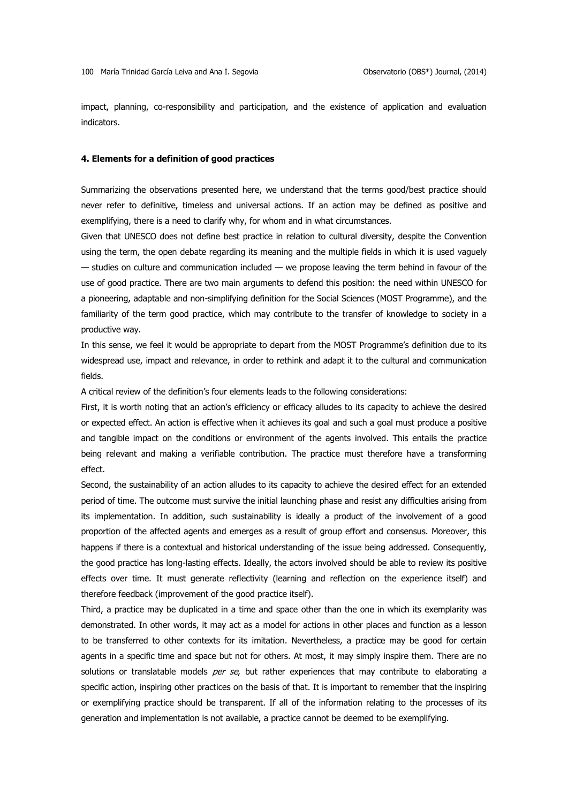impact, planning, co-responsibility and participation, and the existence of application and evaluation indicators.

#### **4. Elements for a definition of good practices**

Summarizing the observations presented here, we understand that the terms good/best practice should never refer to definitive, timeless and universal actions. If an action may be defined as positive and exemplifying, there is a need to clarify why, for whom and in what circumstances.

Given that UNESCO does not define best practice in relation to cultural diversity, despite the Convention using the term, the open debate regarding its meaning and the multiple fields in which it is used vaguely  $-$  studies on culture and communication included  $-$  we propose leaving the term behind in favour of the use of good practice. There are two main arguments to defend this position: the need within UNESCO for a pioneering, adaptable and non-simplifying definition for the Social Sciences (MOST Programme), and the familiarity of the term good practice, which may contribute to the transfer of knowledge to society in a productive way.

In this sense, we feel it would be appropriate to depart from the MOST Programme's definition due to its widespread use, impact and relevance, in order to rethink and adapt it to the cultural and communication fields.

A critical review of the definition's four elements leads to the following considerations:

First, it is worth noting that an action's efficiency or efficacy alludes to its capacity to achieve the desired or expected effect. An action is effective when it achieves its goal and such a goal must produce a positive and tangible impact on the conditions or environment of the agents involved. This entails the practice being relevant and making a verifiable contribution. The practice must therefore have a transforming effect.

Second, the sustainability of an action alludes to its capacity to achieve the desired effect for an extended period of time. The outcome must survive the initial launching phase and resist any difficulties arising from its implementation. In addition, such sustainability is ideally a product of the involvement of a good proportion of the affected agents and emerges as a result of group effort and consensus. Moreover, this happens if there is a contextual and historical understanding of the issue being addressed. Consequently, the good practice has long-lasting effects. Ideally, the actors involved should be able to review its positive effects over time. It must generate reflectivity (learning and reflection on the experience itself) and therefore feedback (improvement of the good practice itself).

Third, a practice may be duplicated in a time and space other than the one in which its exemplarity was demonstrated. In other words, it may act as a model for actions in other places and function as a lesson to be transferred to other contexts for its imitation. Nevertheless, a practice may be good for certain agents in a specific time and space but not for others. At most, it may simply inspire them. There are no solutions or translatable models per se, but rather experiences that may contribute to elaborating a specific action, inspiring other practices on the basis of that. It is important to remember that the inspiring or exemplifying practice should be transparent. If all of the information relating to the processes of its generation and implementation is not available, a practice cannot be deemed to be exemplifying.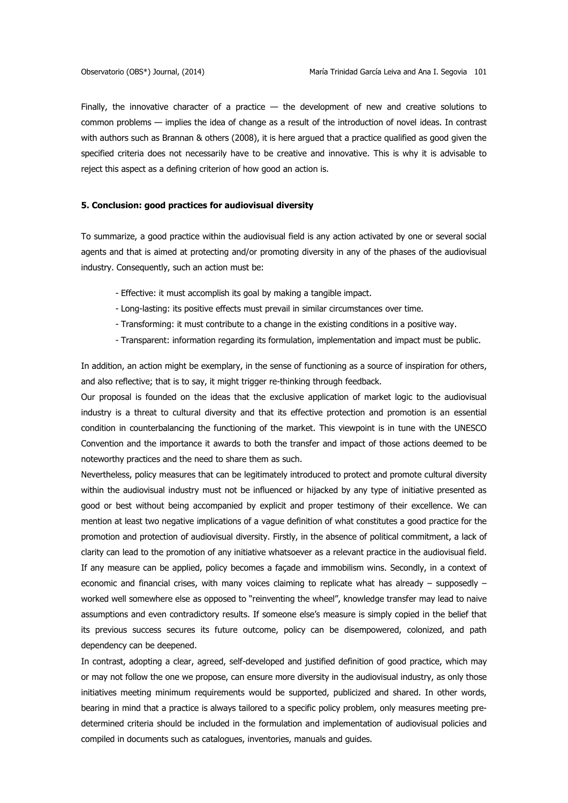Finally, the innovative character of a practice  $-$  the development of new and creative solutions to common problems — implies the idea of change as a result of the introduction of novel ideas. In contrast with authors such as Brannan & others (2008), it is here argued that a practice qualified as good given the specified criteria does not necessarily have to be creative and innovative. This is why it is advisable to reject this aspect as a defining criterion of how good an action is.

### **5. Conclusion: good practices for audiovisual diversity**

To summarize, a good practice within the audiovisual field is any action activated by one or several social agents and that is aimed at protecting and/or promoting diversity in any of the phases of the audiovisual industry. Consequently, such an action must be:

- Effective: it must accomplish its goal by making a tangible impact.
- Long-lasting: its positive effects must prevail in similar circumstances over time.
- Transforming: it must contribute to a change in the existing conditions in a positive way.
- Transparent: information regarding its formulation, implementation and impact must be public.

In addition, an action might be exemplary, in the sense of functioning as a source of inspiration for others, and also reflective; that is to say, it might trigger re-thinking through feedback.

Our proposal is founded on the ideas that the exclusive application of market logic to the audiovisual industry is a threat to cultural diversity and that its effective protection and promotion is an essential condition in counterbalancing the functioning of the market. This viewpoint is in tune with the UNESCO Convention and the importance it awards to both the transfer and impact of those actions deemed to be noteworthy practices and the need to share them as such.

Nevertheless, policy measures that can be legitimately introduced to protect and promote cultural diversity within the audiovisual industry must not be influenced or hijacked by any type of initiative presented as good or best without being accompanied by explicit and proper testimony of their excellence. We can mention at least two negative implications of a vague definition of what constitutes a good practice for the promotion and protection of audiovisual diversity. Firstly, in the absence of political commitment, a lack of clarity can lead to the promotion of any initiative whatsoever as a relevant practice in the audiovisual field. If any measure can be applied, policy becomes a façade and immobilism wins. Secondly, in a context of economic and financial crises, with many voices claiming to replicate what has already – supposedly – worked well somewhere else as opposed to "reinventing the wheel", knowledge transfer may lead to naive assumptions and even contradictory results. If someone else's measure is simply copied in the belief that its previous success secures its future outcome, policy can be disempowered, colonized, and path dependency can be deepened.

In contrast, adopting a clear, agreed, self-developed and justified definition of good practice, which may or may not follow the one we propose, can ensure more diversity in the audiovisual industry, as only those initiatives meeting minimum requirements would be supported, publicized and shared. In other words, bearing in mind that a practice is always tailored to a specific policy problem, only measures meeting predetermined criteria should be included in the formulation and implementation of audiovisual policies and compiled in documents such as catalogues, inventories, manuals and guides.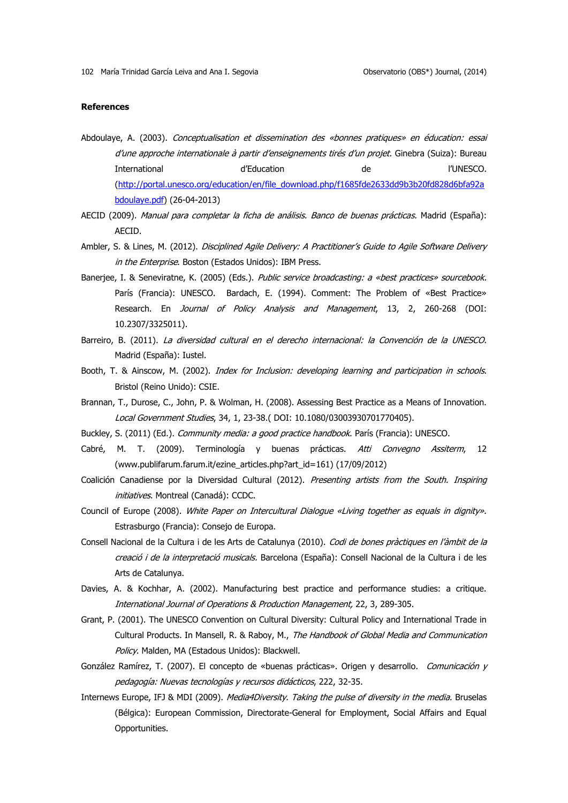### **References**

- Abdoulaye, A. (2003). Conceptualisation et dissemination des «bonnes pratiques» en éducation: essai d'une approche internationale à partir d'enseignements tirés d'un projet. Ginebra (Suiza): Bureau International d'Education de l'UNESCO. [\(http://portal.unesco.org/education/en/file\\_download.php/f1685fde2633dd9b3b20fd828d6bfa92a](http://portal.unesco.org/education/en/file_download.php/f1685fde2633dd9b3b20fd828d6bfa92abdoulaye.pdf) [bdoulaye.pdf\)](http://portal.unesco.org/education/en/file_download.php/f1685fde2633dd9b3b20fd828d6bfa92abdoulaye.pdf) (26-04-2013)
- AECID (2009). Manual para completar la ficha de análisis. Banco de buenas prácticas. Madrid (España): AECID.
- Ambler, S. & Lines, M. (2012). Disciplined Agile Delivery: A Practitioner's Guide to Agile Software Delivery in the Enterprise. Boston (Estados Unidos): IBM Press.
- Banerjee, I. & Seneviratne, K. (2005) (Eds.). Public service broadcasting: a «best practices» sourcebook. París (Francia): UNESCO. Bardach, E. (1994). Comment: The Problem of «Best Practice» Research. En *Journal of Policy Analysis and Management*, 13, 2, 260-268 (DOI: 10.2307/3325011).
- Barreiro, B. (2011). La diversidad cultural en el derecho internacional: la Convención de la UNESCO. Madrid (España): Iustel.
- Booth, T. & Ainscow, M. (2002). *Index for Inclusion: developing learning and participation in schools.* Bristol (Reino Unido): CSIE.
- Brannan, T., Durose, C., John, P. & Wolman, H. (2008). Assessing Best Practice as a Means of Innovation. Local Government Studies, 34, 1, 23-38.( DOI: 10.1080/03003930701770405).
- Buckley, S. (2011) (Ed.). Community media: a good practice handbook. París (Francia): UNESCO.
- Cabré, M. T. (2009). Terminología y buenas prácticas. Atti Convegno Assiterm, 12 (www.publifarum.farum.it/ezine\_articles.php?art\_id=161) (17/09/2012)
- Coalición Canadiense por la Diversidad Cultural (2012). Presenting artists from the South. Inspiring initiatives. Montreal (Canadá): CCDC.
- Council of Europe (2008). White Paper on Intercultural Dialogue «Living together as equals in dignity». Estrasburgo (Francia): Consejo de Europa.
- Consell Nacional de la Cultura i de les Arts de Catalunya (2010). Codi de bones pràctiques en l'àmbit de la creació i de la interpretació musicals. Barcelona (España): Consell Nacional de la Cultura i de les Arts de Catalunya.
- Davies, A. & Kochhar, A. (2002). Manufacturing best practice and performance studies: a critique. International Journal of Operations & Production Management, 22, 3, 289-305.
- Grant, P. (2001). The UNESCO Convention on Cultural Diversity: Cultural Policy and International Trade in Cultural Products. In Mansell, R. & Raboy, M., The Handbook of Global Media and Communication Policy. Malden, MA (Estadous Unidos): Blackwell.
- González Ramírez, T. (2007). El concepto de «buenas prácticas». Origen y desarrollo. *Comunicación y* pedagogía: Nuevas tecnologías y recursos didácticos, 222, 32-35.
- Internews Europe, IFJ & MDI (2009). Media4Diversity. Taking the pulse of diversity in the media. Bruselas (Bélgica): European Commission, Directorate-General for Employment, Social Affairs and Equal Opportunities.